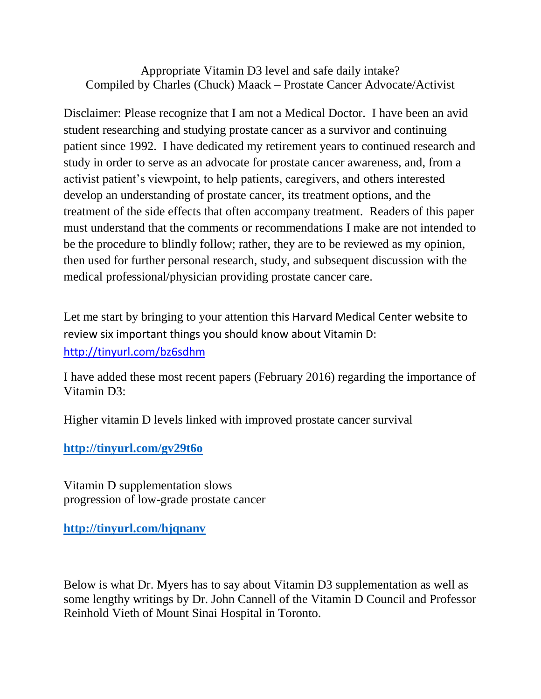Appropriate Vitamin D3 level and safe daily intake? Compiled by Charles (Chuck) Maack – Prostate Cancer Advocate/Activist

Disclaimer: Please recognize that I am not a Medical Doctor. I have been an avid student researching and studying prostate cancer as a survivor and continuing patient since 1992. I have dedicated my retirement years to continued research and study in order to serve as an advocate for prostate cancer awareness, and, from a activist patient's viewpoint, to help patients, caregivers, and others interested develop an understanding of prostate cancer, its treatment options, and the treatment of the side effects that often accompany treatment. Readers of this paper must understand that the comments or recommendations I make are not intended to be the procedure to blindly follow; rather, they are to be reviewed as my opinion, then used for further personal research, study, and subsequent discussion with the medical professional/physician providing prostate cancer care.

Let me start by bringing to your attention this Harvard Medical Center website to review six important things you should know about Vitamin D: <http://tinyurl.com/bz6sdhm>

I have added these most recent papers (February 2016) regarding the importance of Vitamin D3:

[Higher vitamin D levels linked with improved prostate cancer survival](http://www.lifeextension.com/newsletter/2016/2/higher-vitamin-d-levels-linked-with-improved-prostate-cancer-survival/page-01?utm_source=eNewsletter&utm_medium=email&utm_content=Header&utm_campaign=EZX600E)

**<http://tinyurl.com/gv29t6o>**

[Vitamin D supplementation slows](http://www.lifeextension.com/WhatsHot/2015/4/April-Whats-Hot-Articles/Page-01?utm_source=eNewsletter&utm_medium=email&utm_content=Header&utm_campaign=EZX600E&l=0#Vitamin-D-supplementation-slows-progression-of-low-grade-prostate-cancer)  [progression of low-grade prostate cancer](http://www.lifeextension.com/WhatsHot/2015/4/April-Whats-Hot-Articles/Page-01?utm_source=eNewsletter&utm_medium=email&utm_content=Header&utm_campaign=EZX600E&l=0#Vitamin-D-supplementation-slows-progression-of-low-grade-prostate-cancer)

**<http://tinyurl.com/hjqnanv>**

Below is what Dr. Myers has to say about Vitamin D3 supplementation as well as some lengthy writings by Dr. John Cannell of the Vitamin D Council and Professor Reinhold Vieth of Mount Sinai Hospital in Toronto.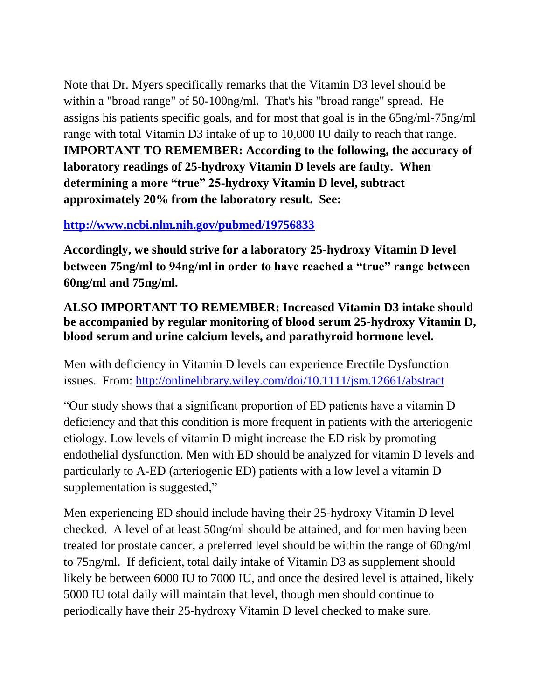Note that Dr. Myers specifically remarks that the Vitamin D3 level should be within a "broad range" of 50-100ng/ml. That's his "broad range" spread. He assigns his patients specific goals, and for most that goal is in the 65ng/ml-75ng/ml range with total Vitamin D3 intake of up to 10,000 IU daily to reach that range. **IMPORTANT TO REMEMBER: According to the following, the accuracy of laboratory readings of 25-hydroxy Vitamin D levels are faulty. When determining a more "true" 25-hydroxy Vitamin D level, subtract approximately 20% from the laboratory result. See:**

# **<http://www.ncbi.nlm.nih.gov/pubmed/19756833>**

**Accordingly, we should strive for a laboratory 25-hydroxy Vitamin D level between 75ng/ml to 94ng/ml in order to have reached a "true" range between 60ng/ml and 75ng/ml.**

# **ALSO IMPORTANT TO REMEMBER: Increased Vitamin D3 intake should be accompanied by regular monitoring of blood serum 25-hydroxy Vitamin D, blood serum and urine calcium levels, and parathyroid hormone level.**

Men with deficiency in Vitamin D levels can experience Erectile Dysfunction issues. From:<http://onlinelibrary.wiley.com/doi/10.1111/jsm.12661/abstract>

"Our study shows that a significant proportion of ED patients have a vitamin D deficiency and that this condition is more frequent in patients with the arteriogenic etiology. Low levels of vitamin D might increase the ED risk by promoting endothelial dysfunction. Men with ED should be analyzed for vitamin D levels and particularly to A-ED (arteriogenic ED) patients with a low level a vitamin D supplementation is suggested,"

Men experiencing ED should include having their 25-hydroxy Vitamin D level checked. A level of at least 50ng/ml should be attained, and for men having been treated for prostate cancer, a preferred level should be within the range of 60ng/ml to 75ng/ml. If deficient, total daily intake of Vitamin D3 as supplement should likely be between 6000 IU to 7000 IU, and once the desired level is attained, likely 5000 IU total daily will maintain that level, though men should continue to periodically have their 25-hydroxy Vitamin D level checked to make sure.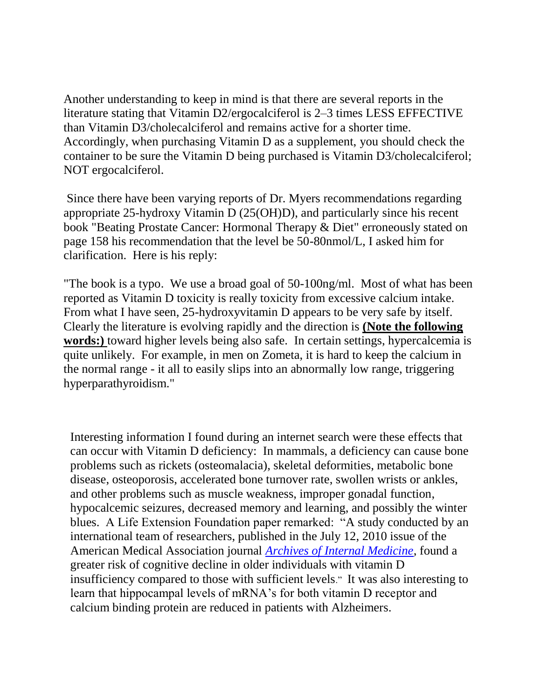Another understanding to keep in mind is that there are several reports in the literature stating that Vitamin D2/ergocalciferol is 2–3 times LESS EFFECTIVE than Vitamin D3/cholecalciferol and remains active for a shorter time. Accordingly, when purchasing Vitamin D as a supplement, you should check the container to be sure the Vitamin D being purchased is Vitamin D3/cholecalciferol; NOT ergocalciferol.

Since there have been varying reports of Dr. Myers recommendations regarding appropriate 25-hydroxy Vitamin D (25(OH)D), and particularly since his recent book "Beating Prostate Cancer: Hormonal Therapy & Diet" erroneously stated on page 158 his recommendation that the level be 50-80nmol/L, I asked him for clarification. Here is his reply:

"The book is a typo. We use a broad goal of 50-100ng/ml. Most of what has been reported as Vitamin D toxicity is really toxicity from excessive calcium intake. From what I have seen, 25-hydroxyvitamin D appears to be very safe by itself. Clearly the literature is evolving rapidly and the direction is **(Note the following words:)** toward higher levels being also safe. In certain settings, hypercalcemia is quite unlikely. For example, in men on Zometa, it is hard to keep the calcium in the normal range - it all to easily slips into an abnormally low range, triggering hyperparathyroidism."

Interesting information I found during an internet search were these effects that can occur with Vitamin D deficiency: In mammals, a deficiency can cause bone problems such as rickets (osteomalacia), skeletal deformities, metabolic bone disease, osteoporosis, accelerated bone turnover rate, swollen wrists or ankles, and other problems such as muscle weakness, improper gonadal function, hypocalcemic seizures, decreased memory and learning, and possibly the winter blues. A Life Extension Foundation paper remarked: "A study conducted by an international team of researchers, published in the July 12, 2010 issue of the American Medical Association journal *[Archives of Internal Medicine](http://archinte.ama-assn.org/)*, found a greater risk of cognitive decline in older individuals with vitamin D insufficiency compared to those with sufficient levels." It was also interesting to learn that hippocampal levels of mRNA's for both vitamin D receptor and calcium binding protein are reduced in patients with Alzheimers.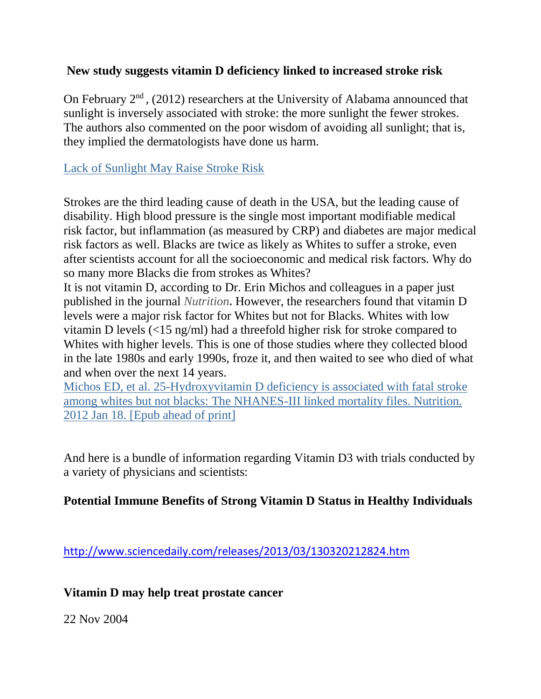### **New study suggests vitamin D deficiency linked to increased stroke risk**

On February  $2<sup>nd</sup>$ , (2012) researchers at the University of Alabama announced that sunlight is inversely associated with stroke: the more sunlight the fewer strokes. The authors also commented on the poor wisdom of avoiding all sunlight; that is, they implied the dermatologists have done us harm.

### [Lack of Sunlight May Raise Stroke Risk](http://vitamindcouncil.us2.list-manage1.com/track/click?u=f545cba30e1f9697fddbe8acb&id=b9727a867b&e=ca8b722883)

Strokes are the third leading cause of death in the USA, but the leading cause of disability. High blood pressure is the single most important modifiable medical risk factor, but inflammation (as measured by CRP) and diabetes are major medical risk factors as well. Blacks are twice as likely as Whites to suffer a stroke, even after scientists account for all the socioeconomic and medical risk factors. Why do so many more Blacks die from strokes as Whites?

It is not vitamin D, according to Dr. Erin Michos and colleagues in a paper just published in the journal *Nutrition***.** However, the researchers found that vitamin D levels were a major risk factor for Whites but not for Blacks. Whites with low vitamin D levels (<15 ng/ml) had a threefold higher risk for stroke compared to Whites with higher levels. This is one of those studies where they collected blood in the late 1980s and early 1990s, froze it, and then waited to see who died of what and when over the next 14 years.

[Michos ED, et al. 25-Hydroxyvitamin D deficiency is associated with fatal stroke](http://vitamindcouncil.us2.list-manage.com/track/click?u=f545cba30e1f9697fddbe8acb&id=df2dcd0320&e=ca8b722883)  [among whites but not blacks: The NHANES-III linked mortality files. Nutrition.](http://vitamindcouncil.us2.list-manage.com/track/click?u=f545cba30e1f9697fddbe8acb&id=df2dcd0320&e=ca8b722883)  [2012 Jan 18. \[Epub ahead of print\]](http://vitamindcouncil.us2.list-manage.com/track/click?u=f545cba30e1f9697fddbe8acb&id=df2dcd0320&e=ca8b722883)

And here is a bundle of information regarding Vitamin D3 with trials conducted by a variety of physicians and scientists:

# **Potential Immune Benefits of Strong Vitamin D Status in Healthy Individuals**

<http://www.sciencedaily.com/releases/2013/03/130320212824.htm>

#### **Vitamin D may help treat prostate cancer**

22 Nov 2004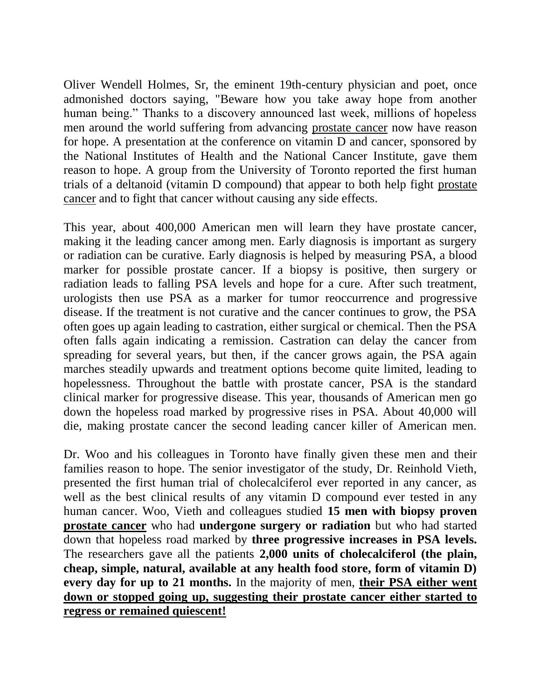Oliver Wendell Holmes, Sr, the eminent 19th-century physician and poet, once admonished doctors saying, "Beware how you take away hope from another human being." Thanks to a discovery announced last week, millions of hopeless men around the world suffering from advancing [prostate cancer](http://eu.xmts.net/76056) now have reason for hope. A presentation at the conference on vitamin D and cancer, sponsored by the National Institutes of Health and the National Cancer Institute, gave them reason to hope. A group from the University of Toronto reported the first human trials of a deltanoid (vitamin D compound) that appear to both help fight [prostate](http://eu.xmts.net/76056)  [cancer](http://eu.xmts.net/76056) and to fight that cancer without causing any side effects.

This year, about 400,000 American men will learn they have prostate cancer, making it the leading cancer among men. Early diagnosis is important as surgery or radiation can be curative. Early diagnosis is helped by measuring PSA, a blood marker for possible prostate cancer. If a biopsy is positive, then surgery or radiation leads to falling PSA levels and hope for a cure. After such treatment, urologists then use PSA as a marker for tumor reoccurrence and progressive disease. If the treatment is not curative and the cancer continues to grow, the PSA often goes up again leading to castration, either surgical or chemical. Then the PSA often falls again indicating a remission. Castration can delay the cancer from spreading for several years, but then, if the cancer grows again, the PSA again marches steadily upwards and treatment options become quite limited, leading to hopelessness. Throughout the battle with prostate cancer, PSA is the standard clinical marker for progressive disease. This year, thousands of American men go down the hopeless road marked by progressive rises in PSA. About 40,000 will die, making prostate cancer the second leading cancer killer of American men.

Dr. Woo and his colleagues in Toronto have finally given these men and their families reason to hope. The senior investigator of the study, Dr. Reinhold Vieth, presented the first human trial of cholecalciferol ever reported in any cancer, as well as the best clinical results of any vitamin D compound ever tested in any human cancer. Woo, Vieth and colleagues studied **15 men with biopsy proven [prostate cancer](http://eu.xmts.net/76056)** who had **undergone surgery or radiation** but who had started down that hopeless road marked by **three progressive increases in PSA levels.** The researchers gave all the patients **2,000 units of cholecalciferol (the plain, cheap, simple, natural, available at any health food store, form of vitamin D) every day for up to 21 months.** In the majority of men, **their PSA either went down or stopped going up, suggesting their [prostate cancer](http://eu.xmts.net/76056) either started to regress or remained quiescent!**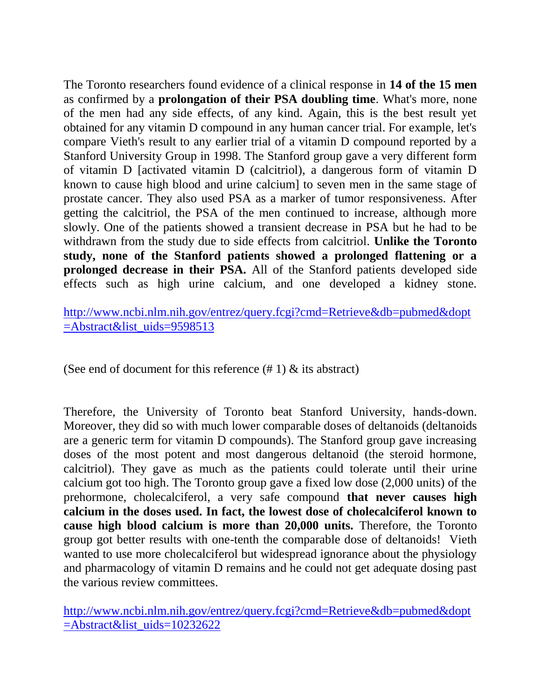The Toronto researchers found evidence of a clinical response in **14 of the 15 men** as confirmed by a **prolongation of their PSA doubling time**. What's more, none of the men had any side effects, of any kind. Again, this is the best result yet obtained for any vitamin D compound in any human cancer trial. For example, let's compare Vieth's result to any earlier trial of a vitamin D compound reported by a Stanford University Group in 1998. The Stanford group gave a very different form of vitamin D [activated vitamin D (calcitriol), a dangerous form of vitamin D known to cause high blood and urine calcium] to seven men in the same stage of prostate cancer. They also used PSA as a marker of tumor responsiveness. After getting the calcitriol, the PSA of the men continued to increase, although more slowly. One of the patients showed a transient decrease in PSA but he had to be withdrawn from the study due to side effects from calcitriol. **Unlike the Toronto study, none of the Stanford patients showed a prolonged flattening or a prolonged decrease in their PSA.** All of the Stanford patients developed side effects such as high urine calcium, and one developed a kidney stone.

[http://www.ncbi.nlm.nih.gov/entrez/query.fcgi?cmd=Retrieve&db=pubmed&dopt](http://www.ncbi.nlm.nih.gov/entrez/query.fcgi?cmd=Retrieve&db=pubmed&dopt=Abstract&list_uids=9598513)  $=$ Abstract&list uids=9598513

(See end of document for this reference  $(\# 1)$  & its abstract)

Therefore, the University of Toronto beat Stanford University, hands-down. Moreover, they did so with much lower comparable doses of deltanoids (deltanoids are a generic term for vitamin D compounds). The Stanford group gave increasing doses of the most potent and most dangerous deltanoid (the steroid hormone, calcitriol). They gave as much as the patients could tolerate until their urine calcium got too high. The Toronto group gave a fixed low dose (2,000 units) of the prehormone, cholecalciferol, a very safe compound **that never causes high calcium in the doses used. In fact, the lowest dose of cholecalciferol known to cause high blood calcium is more than 20,000 units.** Therefore, the Toronto group got better results with one-tenth the comparable dose of deltanoids! Vieth wanted to use more cholecalciferol but widespread ignorance about the physiology and pharmacology of vitamin D remains and he could not get adequate dosing past the various review committees.

[http://www.ncbi.nlm.nih.gov/entrez/query.fcgi?cmd=Retrieve&db=pubmed&dopt](http://www.ncbi.nlm.nih.gov/entrez/query.fcgi?cmd=Retrieve&db=pubmed&dopt=Abstract&list_uids=10232622)  $=$ Abstract&list uids=10232622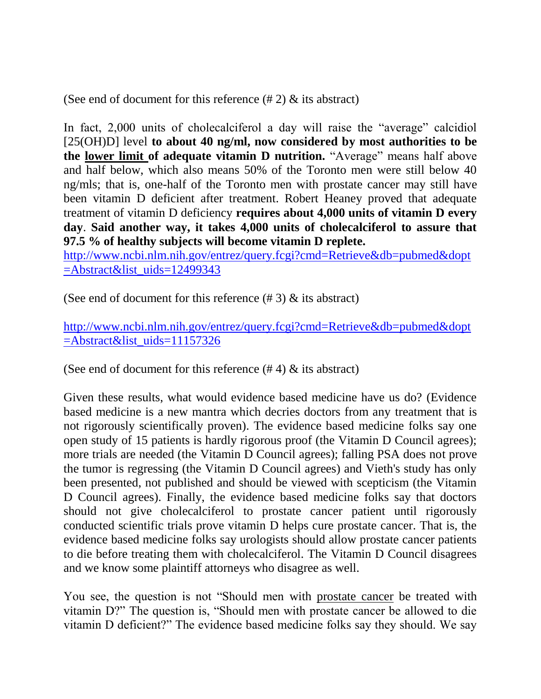(See end of document for this reference  $(\# 2)$  & its abstract)

In fact, 2,000 units of cholecalciferol a day will raise the "average" calcidiol [25(OH)D] level **to about 40 ng/ml, now considered by most authorities to be the lower limit of adequate vitamin D nutrition.** "Average" means half above and half below, which also means 50% of the Toronto men were still below 40 ng/mls; that is, one-half of the Toronto men with prostate cancer may still have been vitamin D deficient after treatment. Robert Heaney proved that adequate treatment of vitamin D deficiency **requires about 4,000 units of vitamin D every day**. **Said another way, it takes 4,000 units of cholecalciferol to assure that 97.5 % of healthy subjects will become vitamin D replete.** 

[http://www.ncbi.nlm.nih.gov/entrez/query.fcgi?cmd=Retrieve&db=pubmed&dopt](http://www.ncbi.nlm.nih.gov/entrez/query.fcgi?cmd=Retrieve&db=pubmed&dopt=Abstract&list_uids=12499343)  $=$ Abstract&list\_uids=12499343

(See end of document for this reference  $(\# 3)$  & its abstract)

[http://www.ncbi.nlm.nih.gov/entrez/query.fcgi?cmd=Retrieve&db=pubmed&dopt](http://www.ncbi.nlm.nih.gov/entrez/query.fcgi?cmd=Retrieve&db=pubmed&dopt=Abstract&list_uids=11157326)  $=$ Abstract&list uids=11157326

(See end of document for this reference  $(\# 4)$  & its abstract)

Given these results, what would evidence based medicine have us do? (Evidence based medicine is a new mantra which decries doctors from any treatment that is not rigorously scientifically proven). The evidence based medicine folks say one open study of 15 patients is hardly rigorous proof (the Vitamin D Council agrees); more trials are needed (the Vitamin D Council agrees); falling PSA does not prove the tumor is regressing (the Vitamin D Council agrees) and Vieth's study has only been presented, not published and should be viewed with scepticism (the Vitamin D Council agrees). Finally, the evidence based medicine folks say that doctors should not give cholecalciferol to prostate cancer patient until rigorously conducted scientific trials prove vitamin D helps cure prostate cancer. That is, the evidence based medicine folks say urologists should allow prostate cancer patients to die before treating them with cholecalciferol. The Vitamin D Council disagrees and we know some plaintiff attorneys who disagree as well.

You see, the question is not "Should men with [prostate cancer](http://eu.xmts.net/76056) be treated with vitamin D?" The question is, "Should men with prostate cancer be allowed to die vitamin D deficient?" The evidence based medicine folks say they should. We say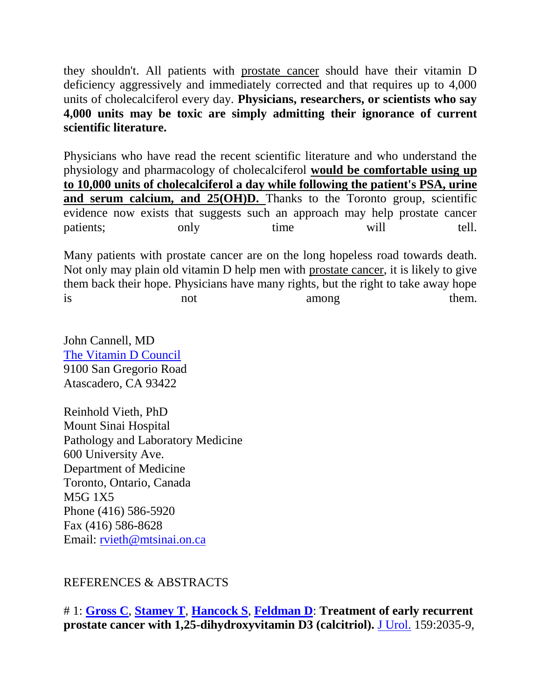they shouldn't. All patients with [prostate cancer](http://eu.xmts.net/76056) should have their vitamin D deficiency aggressively and immediately corrected and that requires up to 4,000 units of cholecalciferol every day. **Physicians, researchers, or scientists who say 4,000 units may be toxic are simply admitting their ignorance of current scientific literature.** 

Physicians who have read the recent scientific literature and who understand the physiology and pharmacology of cholecalciferol **would be comfortable using up to 10,000 units of cholecalciferol a day while following the patient's PSA, urine**  and serum calcium, and 25(OH)D. Thanks to the Toronto group, scientific evidence now exists that suggests such an approach may help prostate cancer patients; only time will tell.

Many patients with prostate cancer are on the long hopeless road towards death. Not only may plain old vitamin D help men with [prostate cancer,](http://eu.xmts.net/76056) it is likely to give them back their hope. Physicians have many rights, but the right to take away hope is not not among them.

John Cannell, MD [The Vitamin D Council](http://cholecalciferol-council.com/)  9100 San Gregorio Road Atascadero, CA 93422

Reinhold Vieth, PhD Mount Sinai Hospital Pathology and Laboratory Medicine 600 University Ave. Department of Medicine Toronto, Ontario, Canada M5G 1X5 Phone (416) 586-5920 Fax (416) 586-8628 Email: [rvieth@mtsinai.on.ca](mailto:rvieth@mtsinai.on.ca)

# REFERENCES & ABSTRACTS

# 1: **[Gross C](http://www.ncbi.nlm.nih.gov/entrez/query.fcgi?db=pubmed&cmd=Search&itool=pubmed_Abstract&term=%22Gross+C%22%5BAuthor%5D)**, **[Stamey T](http://www.ncbi.nlm.nih.gov/entrez/query.fcgi?db=pubmed&cmd=Search&itool=pubmed_Abstract&term=%22Stamey+T%22%5BAuthor%5D)**, **[Hancock S](http://www.ncbi.nlm.nih.gov/entrez/query.fcgi?db=pubmed&cmd=Search&itool=pubmed_Abstract&term=%22Hancock+S%22%5BAuthor%5D)**, **[Feldman D](http://www.ncbi.nlm.nih.gov/entrez/query.fcgi?db=pubmed&cmd=Search&itool=pubmed_Abstract&term=%22Feldman+D%22%5BAuthor%5D)**: **Treatment of early recurrent prostate cancer with 1,25-dihydroxyvitamin D3 (calcitriol).** [J Urol.](javascript:AL_get(this,%20) 159:2035-9,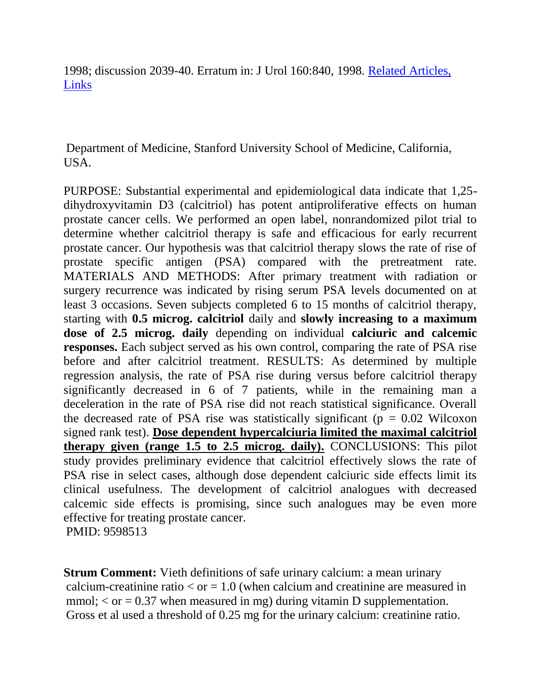1998; discussion 2039-40. Erratum in: J Urol 160:840, 1998. [Related Articles,](http://www.ncbi.nlm.nih.gov/entrez/query.fcgi?db=pubmed&cmd=Display&dopt=pubmed_pubmed&from_uid=9598513&tool=ExternalSearch) [Links](javascript:PopUpMenu2_Set(Menu9598513);)

Department of Medicine, Stanford University School of Medicine, California, USA.

PURPOSE: Substantial experimental and epidemiological data indicate that 1,25 dihydroxyvitamin D3 (calcitriol) has potent antiproliferative effects on human prostate cancer cells. We performed an open label, nonrandomized pilot trial to determine whether calcitriol therapy is safe and efficacious for early recurrent prostate cancer. Our hypothesis was that calcitriol therapy slows the rate of rise of prostate specific antigen (PSA) compared with the pretreatment rate. MATERIALS AND METHODS: After primary treatment with radiation or surgery recurrence was indicated by rising serum PSA levels documented on at least 3 occasions. Seven subjects completed 6 to 15 months of calcitriol therapy, starting with **0.5 microg. calcitriol** daily and **slowly increasing to a maximum dose of 2.5 microg. daily** depending on individual **calciuric and calcemic responses.** Each subject served as his own control, comparing the rate of PSA rise before and after calcitriol treatment. RESULTS: As determined by multiple regression analysis, the rate of PSA rise during versus before calcitriol therapy significantly decreased in 6 of 7 patients, while in the remaining man a deceleration in the rate of PSA rise did not reach statistical significance. Overall the decreased rate of PSA rise was statistically significant ( $p = 0.02$  Wilcoxon signed rank test). **Dose dependent hypercalciuria limited the maximal calcitriol therapy given (range 1.5 to 2.5 microg. daily).** CONCLUSIONS: This pilot study provides preliminary evidence that calcitriol effectively slows the rate of PSA rise in select cases, although dose dependent calciuric side effects limit its clinical usefulness. The development of calcitriol analogues with decreased calcemic side effects is promising, since such analogues may be even more effective for treating prostate cancer. PMID: 9598513

**Strum Comment:** Vieth definitions of safe urinary calcium: a mean urinary calcium-creatinine ratio  $\langle$  or = 1.0 (when calcium and creatinine are measured in mmol;  $\langle$  or = 0.37 when measured in mg) during vitamin D supplementation. Gross et al used a threshold of 0.25 mg for the urinary calcium: creatinine ratio.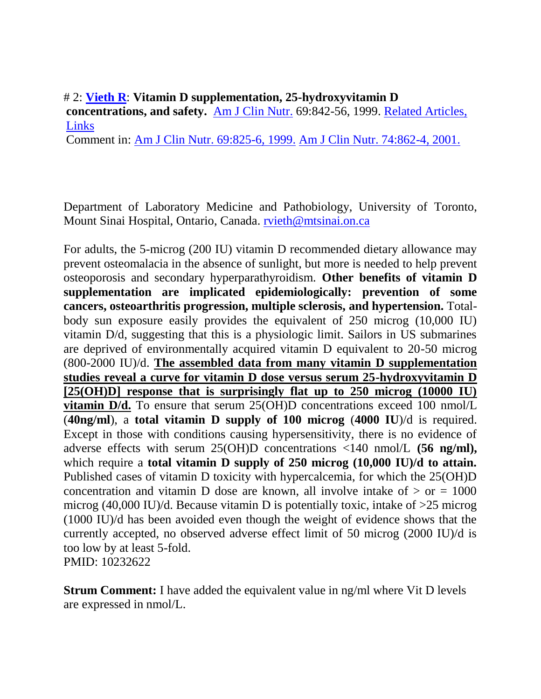#### # 2: **[Vieth R](http://www.ncbi.nlm.nih.gov/entrez/query.fcgi?db=pubmed&cmd=Search&itool=pubmed_Abstract&term=%22Vieth+R%22%5BAuthor%5D)**: **Vitamin D supplementation, 25-hydroxyvitamin D**

**concentrations, and safety.** [Am J Clin Nutr.](javascript:AL_get(this,%20) 69:842-56, 1999. [Related Articles,](http://www.ncbi.nlm.nih.gov/entrez/query.fcgi?db=pubmed&cmd=Display&dopt=pubmed_pubmed&from_uid=10232622&tool=ExternalSearch) [Links](javascript:PopUpMenu2_Set(Menu10232622);)

Comment in: [Am J Clin Nutr. 69:825-6, 1999.](http://www.ncbi.nlm.nih.gov/entrez/query.fcgi?cmd=Retrieve&db=pubmed&dopt=Abstract&list_uids=10232617&itool=pubmed_Abstract) Am J Clin [Nutr. 74:862-4, 2001.](http://www.ncbi.nlm.nih.gov/entrez/query.fcgi?cmd=Retrieve&db=pubmed&dopt=Abstract&list_uids=11722970&itool=pubmed_Abstract)

Department of Laboratory Medicine and Pathobiology, University of Toronto, Mount Sinai Hospital, Ontario, Canada. [rvieth@mtsinai.on.ca](mailto:rvieth@mtsinai.on.ca)

For adults, the 5-microg (200 IU) vitamin D recommended dietary allowance may prevent osteomalacia in the absence of sunlight, but more is needed to help prevent osteoporosis and secondary hyperparathyroidism. **Other benefits of vitamin D supplementation are implicated epidemiologically: prevention of some cancers, osteoarthritis progression, multiple sclerosis, and hypertension.** Totalbody sun exposure easily provides the equivalent of 250 microg (10,000 IU) vitamin D/d, suggesting that this is a physiologic limit. Sailors in US submarines are deprived of environmentally acquired vitamin D equivalent to 20-50 microg (800-2000 IU)/d. **The assembled data from many vitamin D supplementation studies reveal a curve for vitamin D dose versus serum 25-hydroxyvitamin D [25(OH)D] response that is surprisingly flat up to 250 microg (10000 IU) vitamin D/d.** To ensure that serum 25(OH)D concentrations exceed 100 nmol/L (**40ng/ml**), a **total vitamin D supply of 100 microg** (**4000 IU**)/d is required. Except in those with conditions causing hypersensitivity, there is no evidence of adverse effects with serum 25(OH)D concentrations <140 nmol/L **(56 ng/ml),** which require a **total vitamin D supply of 250 microg (10,000 IU)/d to attain.** Published cases of vitamin D toxicity with hypercalcemia, for which the 25(OH)D concentration and vitamin D dose are known, all involve intake of  $>$  or  $=$  1000 microg (40,000 IU)/d. Because vitamin D is potentially toxic, intake of  $>25$  microg (1000 IU)/d has been avoided even though the weight of evidence shows that the currently accepted, no observed adverse effect limit of 50 microg (2000 IU)/d is too low by at least 5-fold. PMID: 10232622

**Strum Comment:** I have added the equivalent value in ng/ml where Vit D levels are expressed in nmol/L.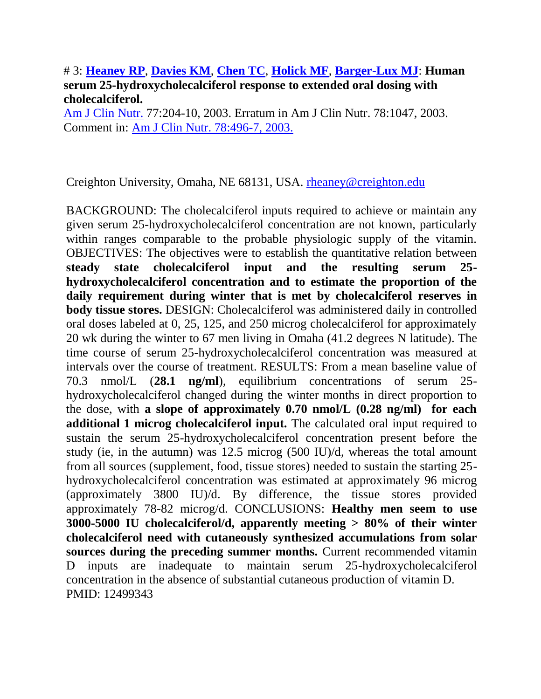### # 3: **[Heaney RP](http://www.ncbi.nlm.nih.gov/entrez/query.fcgi?db=pubmed&cmd=Search&itool=pubmed_Abstract&term=%22Heaney+RP%22%5BAuthor%5D)**, **[Davies KM](http://www.ncbi.nlm.nih.gov/entrez/query.fcgi?db=pubmed&cmd=Search&itool=pubmed_Abstract&term=%22Davies+KM%22%5BAuthor%5D)**, **[Chen TC](http://www.ncbi.nlm.nih.gov/entrez/query.fcgi?db=pubmed&cmd=Search&itool=pubmed_Abstract&term=%22Chen+TC%22%5BAuthor%5D)**, **[Holick MF](http://www.ncbi.nlm.nih.gov/entrez/query.fcgi?db=pubmed&cmd=Search&itool=pubmed_Abstract&term=%22Holick+MF%22%5BAuthor%5D)**, **[Barger-Lux MJ](http://www.ncbi.nlm.nih.gov/entrez/query.fcgi?db=pubmed&cmd=Search&itool=pubmed_Abstract&term=%22Barger%2DLux+MJ%22%5BAuthor%5D)**: **Human serum 25-hydroxycholecalciferol response to extended oral dosing with cholecalciferol.**

[Am J Clin Nutr.](javascript:AL_get(this,%20) 77:204-10, 2003. Erratum in Am J Clin Nutr. 78:1047, 2003. Comment in: [Am J Clin Nutr. 78:496-7, 2003.](http://www.ncbi.nlm.nih.gov/entrez/query.fcgi?cmd=Retrieve&db=pubmed&dopt=Abstract&list_uids=12936937&itool=pubmed_Abstract)

Creighton University, Omaha, NE 68131, USA. [rheaney@creighton.edu](mailto:rheaney@creighton.edu)

BACKGROUND: The cholecalciferol inputs required to achieve or maintain any given serum 25-hydroxycholecalciferol concentration are not known, particularly within ranges comparable to the probable physiologic supply of the vitamin. OBJECTIVES: The objectives were to establish the quantitative relation between **steady state cholecalciferol input and the resulting serum 25 hydroxycholecalciferol concentration and to estimate the proportion of the daily requirement during winter that is met by cholecalciferol reserves in body tissue stores.** DESIGN: Cholecalciferol was administered daily in controlled oral doses labeled at 0, 25, 125, and 250 microg cholecalciferol for approximately 20 wk during the winter to 67 men living in Omaha (41.2 degrees N latitude). The time course of serum 25-hydroxycholecalciferol concentration was measured at intervals over the course of treatment. RESULTS: From a mean baseline value of 70.3 nmol/L (**28.1 ng/ml**), equilibrium concentrations of serum 25 hydroxycholecalciferol changed during the winter months in direct proportion to the dose, with **a slope of approximately 0.70 nmol/L (0.28 ng/ml) for each additional 1 microg cholecalciferol input.** The calculated oral input required to sustain the serum 25-hydroxycholecalciferol concentration present before the study (ie, in the autumn) was 12.5 microg (500 IU)/d, whereas the total amount from all sources (supplement, food, tissue stores) needed to sustain the starting 25 hydroxycholecalciferol concentration was estimated at approximately 96 microg (approximately 3800 IU)/d. By difference, the tissue stores provided approximately 78-82 microg/d. CONCLUSIONS: **Healthy men seem to use 3000-5000 IU cholecalciferol/d, apparently meeting > 80% of their winter cholecalciferol need with cutaneously synthesized accumulations from solar sources during the preceding summer months.** Current recommended vitamin D inputs are inadequate to maintain serum 25-hydroxycholecalciferol concentration in the absence of substantial cutaneous production of vitamin D. PMID: 12499343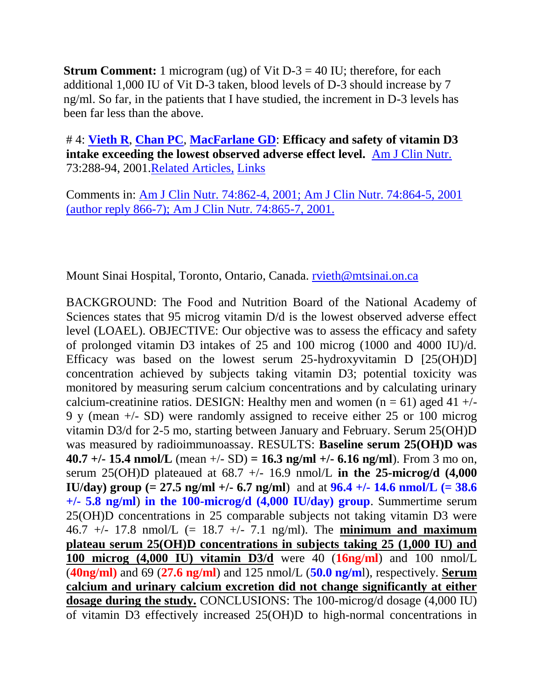**Strum Comment:** 1 microgram (ug) of Vit D-3 = 40 IU; therefore, for each additional 1,000 IU of Vit D-3 taken, blood levels of D-3 should increase by 7 ng/ml. So far, in the patients that I have studied, the increment in D-3 levels has been far less than the above.

# 4: **[Vieth R](http://www.ncbi.nlm.nih.gov/entrez/query.fcgi?db=pubmed&cmd=Search&itool=pubmed_Abstract&term=%22Vieth+R%22%5BAuthor%5D)**, **[Chan PC](http://www.ncbi.nlm.nih.gov/entrez/query.fcgi?db=pubmed&cmd=Search&itool=pubmed_Abstract&term=%22Chan+PC%22%5BAuthor%5D)**, **[MacFarlane GD](http://www.ncbi.nlm.nih.gov/entrez/query.fcgi?db=pubmed&cmd=Search&itool=pubmed_Abstract&term=%22MacFarlane+GD%22%5BAuthor%5D)**: **Efficacy and safety of vitamin D3 intake exceeding the lowest observed adverse effect level.** [Am J Clin Nutr.](javascript:AL_get(this,%20) 73:288-94, 2001[.Related Articles,](http://www.ncbi.nlm.nih.gov/entrez/query.fcgi?db=pubmed&cmd=Display&dopt=pubmed_pubmed&from_uid=11157326&tool=ExternalSearch) [Links](javascript:PopUpMenu2_Set(Menu11157326);) 

Comments in: [Am J Clin Nutr. 74:862-4, 2001; Am J Clin Nutr. 74:864-5, 2001](http://www.ncbi.nlm.nih.gov/entrez/query.fcgi?cmd=Retrieve&db=pubmed&dopt=Abstract&list_uids=11722970&itool=pubmed_Abstract)  [\(author reply 866-7\); Am J Clin Nutr. 74:865-7, 2001.](http://www.ncbi.nlm.nih.gov/entrez/query.fcgi?cmd=Retrieve&db=pubmed&dopt=Abstract&list_uids=11722972&itool=pubmed_Abstract)

Mount Sinai Hospital, Toronto, Ontario, Canada. [rvieth@mtsinai.on.ca](mailto:rvieth@mtsinai.on.ca)

BACKGROUND: The Food and Nutrition Board of the National Academy of Sciences states that 95 microg vitamin D/d is the lowest observed adverse effect level (LOAEL). OBJECTIVE: Our objective was to assess the efficacy and safety of prolonged vitamin D3 intakes of 25 and 100 microg (1000 and 4000 IU)/d. Efficacy was based on the lowest serum 25-hydroxyvitamin D [25(OH)D] concentration achieved by subjects taking vitamin D3; potential toxicity was monitored by measuring serum calcium concentrations and by calculating urinary calcium-creatinine ratios. DESIGN: Healthy men and women  $(n = 61)$  aged 41 +/-9 y (mean +/- SD) were randomly assigned to receive either 25 or 100 microg vitamin D3/d for 2-5 mo, starting between January and February. Serum 25(OH)D was measured by radioimmunoassay. RESULTS: **Baseline serum 25(OH)D was 40.7 +/- 15.4 nmol/L** (mean +/- SD) **= 16.3 ng/ml +/- 6.16 ng/ml**). From 3 mo on, serum 25(OH)D plateaued at 68.7 +/- 16.9 nmol/L **in the 25-microg/d (4,000 IU/day) group (= 27.5 ng/ml +/- 6.7 ng/ml**) and at **96.4 +/- 14.6 nmol/L (= 38.6 +/- 5.8 ng/ml**) **in the 100-microg/d (4,000 IU/day) group**. Summertime serum 25(OH)D concentrations in 25 comparable subjects not taking vitamin D3 were 46.7 +/- 17.8 nmol/L (= 18.7 +/- 7.1 ng/ml). The **minimum and maximum plateau serum 25(OH)D concentrations in subjects taking 25 (1,000 IU) and 100 microg (4,000 IU) vitamin D3/d** were 40 (**16ng/ml**) and 100 nmol/L (**40ng/ml)** and 69 (**27.6 ng/ml**) and 125 nmol/L (**50.0 ng/m**l), respectively. **Serum calcium and urinary calcium excretion did not change significantly at either dosage during the study.** CONCLUSIONS: The 100-microg/d dosage (4,000 IU) of vitamin D3 effectively increased 25(OH)D to high-normal concentrations in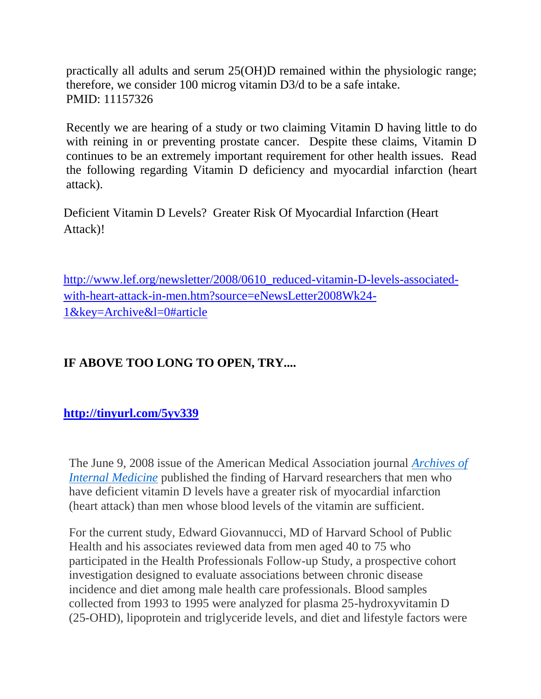practically all adults and serum 25(OH)D remained within the physiologic range; therefore, we consider 100 microg vitamin D3/d to be a safe intake. PMID: 11157326

Recently we are hearing of a study or two claiming Vitamin D having little to do with reining in or preventing prostate cancer. Despite these claims, Vitamin D continues to be an extremely important requirement for other health issues. Read the following regarding Vitamin D deficiency and myocardial infarction (heart attack).

Deficient Vitamin D Levels? Greater Risk Of Myocardial Infarction (Heart Attack)!

[http://www.lef.org/newsletter/2008/0610\\_reduced-vitamin-D-levels-associated](http://www.lef.org/newsletter/2008/0610_reduced-vitamin-D-levels-associated-with-heart-attack-in-men.htm?source=eNewsLetter2008Wk24-1&key=Archive&l=0#article)[with-heart-attack-in-men.htm?source=eNewsLetter2008Wk24-](http://www.lef.org/newsletter/2008/0610_reduced-vitamin-D-levels-associated-with-heart-attack-in-men.htm?source=eNewsLetter2008Wk24-1&key=Archive&l=0#article) [1&key=Archive&l=0#article](http://www.lef.org/newsletter/2008/0610_reduced-vitamin-D-levels-associated-with-heart-attack-in-men.htm?source=eNewsLetter2008Wk24-1&key=Archive&l=0#article)

# **IF ABOVE TOO LONG TO OPEN, TRY....**

# **<http://tinyurl.com/5yv339>**

The June 9, 2008 issue of the American Medical Association journal *[Archives of](http://archinte.ama-assn.org/)  [Internal Medicine](http://archinte.ama-assn.org/)* published the finding of Harvard researchers that men who have deficient vitamin D levels have a greater risk of myocardial infarction (heart attack) than men whose blood levels of the vitamin are sufficient.

For the current study, Edward Giovannucci, MD of Harvard School of Public Health and his associates reviewed data from men aged 40 to 75 who participated in the Health Professionals Follow-up Study, a prospective cohort investigation designed to evaluate associations between chronic disease incidence and diet among male health care professionals. Blood samples collected from 1993 to 1995 were analyzed for plasma 25-hydroxyvitamin D (25-OHD), lipoprotein and triglyceride levels, and diet and lifestyle factors were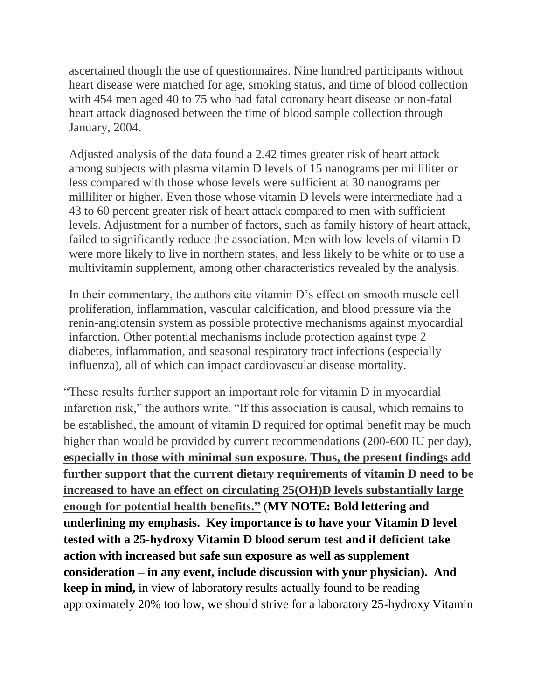ascertained though the use of questionnaires. Nine hundred participants without heart disease were matched for age, smoking status, and time of blood collection with 454 men aged 40 to 75 who had fatal coronary heart disease or non-fatal heart attack diagnosed between the time of blood sample collection through January, 2004.

Adjusted analysis of the data found a 2.42 times greater risk of heart attack among subjects with plasma vitamin D levels of 15 nanograms per milliliter or less compared with those whose levels were sufficient at 30 nanograms per milliliter or higher. Even those whose vitamin D levels were intermediate had a 43 to 60 percent greater risk of heart attack compared to men with sufficient levels. Adjustment for a number of factors, such as family history of heart attack, failed to significantly reduce the association. Men with low levels of vitamin D were more likely to live in northern states, and less likely to be white or to use a multivitamin supplement, among other characteristics revealed by the analysis.

In their commentary, the authors cite vitamin D's effect on smooth muscle cell proliferation, inflammation, vascular calcification, and blood pressure via the renin-angiotensin system as possible protective mechanisms against myocardial infarction. Other potential mechanisms include protection against type 2 diabetes, inflammation, and seasonal respiratory tract infections (especially influenza), all of which can impact cardiovascular disease mortality.

"These results further support an important role for vitamin D in myocardial infarction risk," the authors write. "If this association is causal, which remains to be established, the amount of vitamin D required for optimal benefit may be much higher than would be provided by current recommendations (200-600 IU per day), **especially in those with minimal sun exposure. Thus, the present findings add further support that the current dietary requirements of vitamin D need to be increased to have an effect on circulating 25(OH)D levels substantially large enough for potential health benefits."** (**MY NOTE: Bold lettering and underlining my emphasis. Key importance is to have your Vitamin D level tested with a 25-hydroxy Vitamin D blood serum test and if deficient take action with increased but safe sun exposure as well as supplement consideration – in any event, include discussion with your physician). And keep in mind,** in view of laboratory results actually found to be reading approximately 20% too low, we should strive for a laboratory 25-hydroxy Vitamin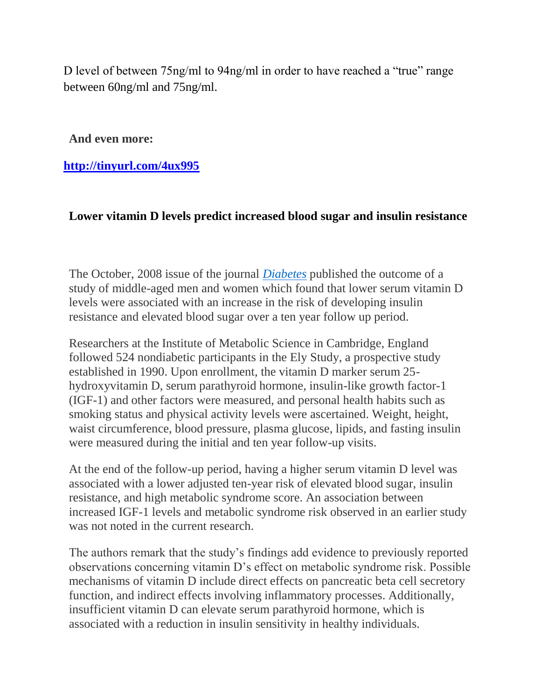D level of between 75ng/ml to 94ng/ml in order to have reached a "true" range between 60ng/ml and 75ng/ml.

**And even more:**

**<http://tinyurl.com/4ux995>**

#### **Lower vitamin D levels predict increased blood sugar and insulin resistance**

The October, 2008 issue of the journal *[Diabetes](http://diabetes.diabetesjournals.org/)* published the outcome of a study of middle-aged men and women which found that lower serum vitamin D levels were associated with an increase in the risk of developing insulin resistance and elevated blood sugar over a ten year follow up period.

Researchers at the Institute of Metabolic Science in Cambridge, England followed 524 nondiabetic participants in the Ely Study, a prospective study established in 1990. Upon enrollment, the vitamin D marker serum 25 hydroxyvitamin D, serum parathyroid hormone, insulin-like growth factor-1 (IGF-1) and other factors were measured, and personal health habits such as smoking status and physical activity levels were ascertained. Weight, height, waist circumference, blood pressure, plasma glucose, lipids, and fasting insulin were measured during the initial and ten year follow-up visits.

At the end of the follow-up period, having a higher serum vitamin D level was associated with a lower adjusted ten-year risk of elevated blood sugar, insulin resistance, and high metabolic syndrome score. An association between increased IGF-1 levels and metabolic syndrome risk observed in an earlier study was not noted in the current research.

The authors remark that the study's findings add evidence to previously reported observations concerning vitamin D's effect on metabolic syndrome risk. Possible mechanisms of vitamin D include direct effects on pancreatic beta cell secretory function, and indirect effects involving inflammatory processes. Additionally, insufficient vitamin D can elevate serum parathyroid hormone, which is associated with a reduction in insulin sensitivity in healthy individuals.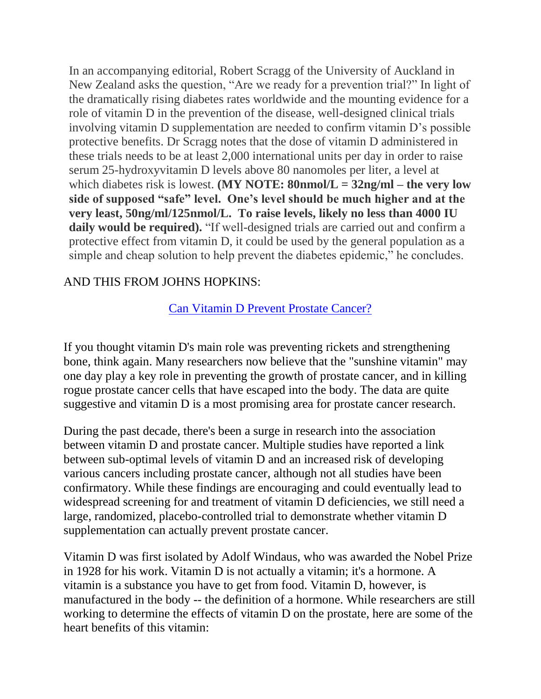In an accompanying editorial, Robert Scragg of the University of Auckland in New Zealand asks the question, "Are we ready for a prevention trial?" In light of the dramatically rising diabetes rates worldwide and the mounting evidence for a role of vitamin D in the prevention of the disease, well-designed clinical trials involving vitamin D supplementation are needed to confirm vitamin D's possible protective benefits. Dr Scragg notes that the dose of vitamin D administered in these trials needs to be at least 2,000 international units per day in order to raise serum 25-hydroxyvitamin D levels above 80 nanomoles per liter, a level at which diabetes risk is lowest. **(MY NOTE: 80nmol/L = 32ng/ml – the very low side of supposed "safe" level. One's level should be much higher and at the very least, 50ng/ml/125nmol/L. To raise levels, likely no less than 4000 IU daily would be required).** "If well-designed trials are carried out and confirm a protective effect from vitamin D, it could be used by the general population as a simple and cheap solution to help prevent the diabetes epidemic," he concludes.

#### AND THIS FROM JOHNS HOPKINS:

## [Can Vitamin D Prevent Prostate Cancer?](http://www.johnshopkinshealthalerts.com/alerts/prostate_disorders/JohnsHopkinsProstateDisordersHealthAlert_2939-1.html?ET=johnshopkins_blog:e15869:234339a:&st=email&st=email&s=EPH_090319_005)

If you thought vitamin D's main role was preventing rickets and strengthening bone, think again. Many researchers now believe that the "sunshine vitamin" may one day play a key role in preventing the growth of prostate cancer, and in killing rogue prostate cancer cells that have escaped into the body. The data are quite suggestive and vitamin D is a most promising area for prostate cancer research.

During the past decade, there's been a surge in research into the association between vitamin D and prostate cancer. Multiple studies have reported a link between sub-optimal levels of vitamin D and an increased risk of developing various cancers including prostate cancer, although not all studies have been confirmatory. While these findings are encouraging and could eventually lead to widespread screening for and treatment of vitamin D deficiencies, we still need a large, randomized, placebo-controlled trial to demonstrate whether vitamin D supplementation can actually prevent prostate cancer.

Vitamin D was first isolated by Adolf Windaus, who was awarded the Nobel Prize in 1928 for his work. Vitamin D is not actually a vitamin; it's a hormone. A vitamin is a substance you have to get from food. Vitamin D, however, is manufactured in the body -- the definition of a hormone. While researchers are still working to determine the effects of vitamin D on the prostate, here are some of the heart benefits of this vitamin: